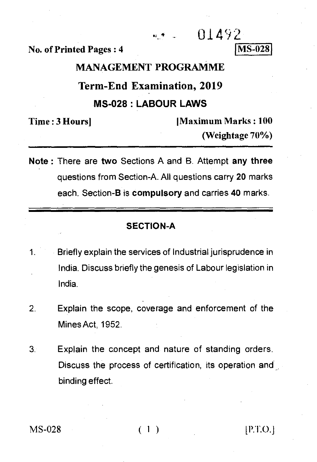$01492$ 

**No. of Printed Pages : 4** 

**MS-028** 

## **MANAGEMENT PROGRAMME**

# **Term-End Examination, 2019 MS-028 : LABOUR LAWS**

Time : 3 Hours **| Maximum Marks** : 100 **(Weightage 70%)** 

**Note : There are two** Sections A and B. Attempt **any three**  questions from Section-A. All questions carry **20** marks each. Section-B is **compulsory** and carries **40 marks.** 

#### **SECTION-A**

- Briefly explain the services of Industrial jurisprudence in 1. India. Discuss briefly the genesis of Labour legislation in India.
- 2. Explain the scope, coverage and enforcement of the Mines Act, 1952.
- 3. Explain the concept and nature of standing orders. Discuss the process of certification, its operation and binding effect.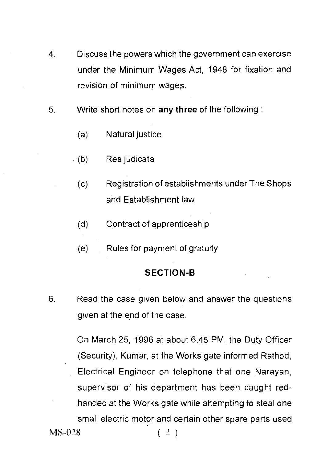- Discuss the powers which the government can exercise 4. under the Minimum Wages Act, 1948 for fixation and revision of minimum wages.
- 5. Write short notes on any three of the following :
	- (a) Natural justice
	- (b) Res judicata
		- (c) Registration of establishments under The Shops and Establishment law
		- (d) Contract of apprenticeship
		- (e) Rules for payment of gratuity

### **SECTION-B**

6. Read the case given below and answer the questions given at the end of the case.

On March 25, 1996 at about 6.45 PM, the Duty Officer (Security), Kumar, at the Works gate informed Rathod, Electrical Engineer on telephone that one Narayan, supervisor of his department has been caught redhanded at the Works gate while attempting to steal one small electric motor and certain other spare parts used MS-028 ( 2 )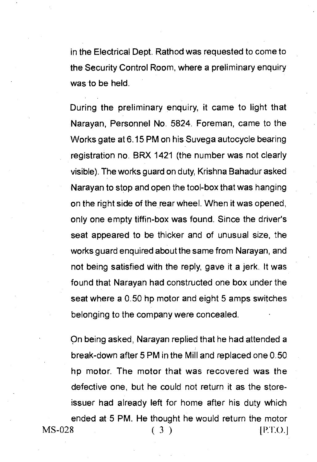in the Electrical Dept. Rathod was requested to come to the Security Control Room, where a preliminary enquiry was to be held.

During the preliminary enquiry, it came to light that Narayan, Personnel No. 5824. Foreman, came to the Works gate at 6.15 PM on his Suvega autocycle bearing registration no. BRX 1421 (the number was not clearly visible). The works guard on duty, Krishna Bahadur asked Narayan to stop and open the tool-box that was hanging on the right side of the rear wheel. When it was opened, only one empty tiffin-box was found. Since the driver's seat appeared to be thicker and of unusual size, the works guard enquired about the same from Narayan, and not being satisfied with the reply, gave it a jerk. It was found that Narayan had constructed one box under the seat where a 0.50 hp motor and eight 5 amps switches belonging to the company were concealed.

On being asked, Narayan replied that he had attended a break-down after 5 PM in the Mill and replaced one 0.50 hp motor. The motor that was recovered was the defective one, but he could not return it as the storeissuer had already left for home after his duty which ended at 5 PM. He thought he would return the motor  $MS-028$  (3) [P.T.O.]